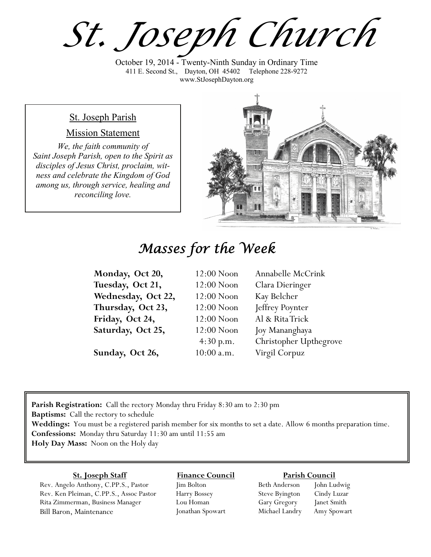*St. Joseph Church*

October 19, 2014 - Twenty-Ninth Sunday in Ordinary Time 411 E. Second St., Dayton, OH 45402 Telephone 228-9272 www.StJosephDayton.org

### St. Joseph Parish

### Mission Statement

*We, the faith community of Saint Joseph Parish, open to the Spirit as disciples of Jesus Christ, proclaim, witness and celebrate the Kingdom of God among us, through service, healing and reconciling love.*



## *Masses for the Week*

| Monday, Oct 20,    | $12:00$ Noon | Annabelle McCrink      |
|--------------------|--------------|------------------------|
| Tuesday, Oct 21,   | $12:00$ Noon | Clara Dieringer        |
| Wednesday, Oct 22, | $12:00$ Noon | Kay Belcher            |
| Thursday, Oct 23,  | $12:00$ Noon | Jeffrey Poynter        |
| Friday, Oct 24,    | $12:00$ Noon | Al & Rita Trick        |
| Saturday, Oct 25,  | $12:00$ Noon | Joy Mananghaya         |
|                    | 4:30 p.m.    | Christopher Upthegrove |
| Sunday, Oct 26,    | $10:00$ a.m. | Virgil Corpuz          |

**Parish Registration:** Call the rectory Monday thru Friday 8:30 am to 2:30 pm **Baptisms:** Call the rectory to schedule **Weddings:** You must be a registered parish member for six months to set a date. Allow 6 months preparation time. **Confessions:** Monday thru Saturday 11:30 am until 11:55 am **Holy Day Mass:** Noon on the Holy day

#### **St. Joseph Staff**

Rev. Angelo Anthony, C.PP.S., Pastor Rev. Ken Pleiman, C.PP.S., Assoc Pastor Rita Zimmerman, Business Manager Bill Baron, Maintenance

**Finance Council** Jim Bolton

Harry Bossey Lou Homan Jonathan Spowart

#### **Parish Council**

Beth Anderson John Ludwig Steve Byington Cindy Luzar Gary Gregory Janet Smith Michael Landry Amy Spowart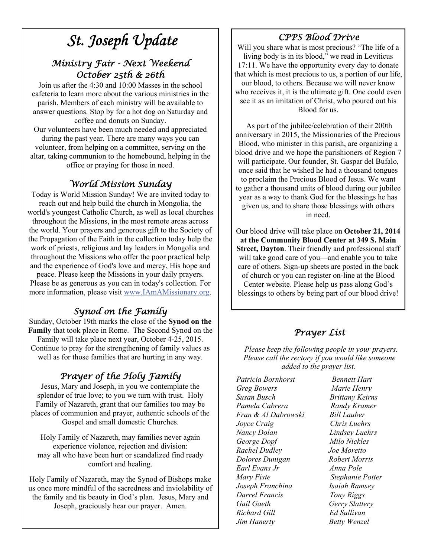# *St. Joseph Update*

### *Ministry Fair - Next Weekend October 25th & 26th*

Join us after the 4:30 and 10:00 Masses in the school cafeteria to learn more about the various ministries in the parish. Members of each ministry will be available to answer questions. Stop by for a hot dog on Saturday and coffee and donuts on Sunday.

Our volunteers have been much needed and appreciated during the past year. There are many ways you can volunteer, from helping on a committee, serving on the altar, taking communion to the homebound, helping in the office or praying for those in need.

### *World Mission Sunday*

Today is World Mission Sunday! We are invited today to reach out and help build the church in Mongolia, the world's youngest Catholic Church, as well as local churches throughout the Missions, in the most remote areas across the world. Your prayers and generous gift to the Society of the Propagation of the Faith in the collection today help the work of priests, religious and lay leaders in Mongolia and throughout the Missions who offer the poor practical help and the experience of God's love and mercy, His hope and peace. Please keep the Missions in your daily prayers. Please be as generous as you can in today's collection. For more information, please visit www.IAmAMissionary.org.

## *Synod on the Family*

Sunday, October 19th marks the close of the **Synod on the Family** that took place in Rome. The Second Synod on the Family will take place next year, October 4-25, 2015. Continue to pray for the strengthening of family values as well as for those families that are hurting in any way.

## *Prayer of the Holy Family*

Jesus, Mary and Joseph, in you we contemplate the splendor of true love; to you we turn with trust. Holy Family of Nazareth, grant that our families too may be places of communion and prayer, authentic schools of the Gospel and small domestic Churches.

Holy Family of Nazareth, may families never again experience violence, rejection and division: may all who have been hurt or scandalized find ready comfort and healing.

Holy Family of Nazareth, may the Synod of Bishops make us once more mindful of the sacredness and inviolability of the family and tis beauty in God's plan. Jesus, Mary and Joseph, graciously hear our prayer. Amen.

### *CPPS Blood Drive*

Will you share what is most precious? "The life of a living body is in its blood," we read in Leviticus 17:11. We have the opportunity every day to donate that which is most precious to us, a portion of our life, our blood, to others. Because we will never know who receives it, it is the ultimate gift. One could even see it as an imitation of Christ, who poured out his Blood for us.

 As part of the jubilee/celebration of their 200th anniversary in 2015, the Missionaries of the Precious Blood, who minister in this parish, are organizing a blood drive and we hope the parishioners of Region 7 will participate. Our founder, St. Gaspar del Bufalo, once said that he wished he had a thousand tongues to proclaim the Precious Blood of Jesus. We want to gather a thousand units of blood during our jubilee year as a way to thank God for the blessings he has given us, and to share those blessings with others in need.

Our blood drive will take place on **October 21, 2014 at the Community Blood Center at 349 S. Main Street, Dayton**. Their friendly and professional staff will take good care of you—and enable you to take care of others. Sign-up sheets are posted in the back of church or you can register on-line at the Blood Center website. Please help us pass along God's blessings to others by being part of our blood drive!

### *Prayer List*

 *Please keep the following people in your prayers. Please call the rectory if you would like someone added to the prayer list.* 

*Patricia Bornhorst Bennett Hart Greg Bowers Marie Henry Susan Busch Brittany Keirns Pamela Cabrera Randy Kramer Fran & Al Dabrowski Bill Lauber Joyce Craig Chris Luehrs Nancy Dolan Lindsey Luehrs George Dopf Milo Nickles Rachel Dudley Joe Moretto Dolores Dunigan Robert Morris Earl Evans Jr Anna Pole Mary Fiste Stephanie Potter Joseph Franchina Isaiah Ramsey Darrel Francis Tony Riggs Gail Gaeth Gerry Slattery Richard Gill Ed Sullivan Jim Hanerty Betty Wenzel*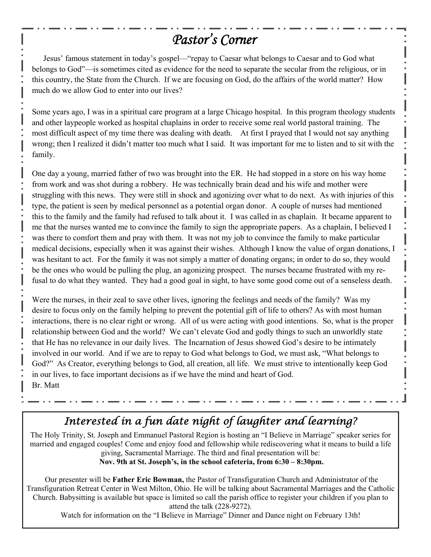## *Pastor's Corner*

Jesus' famous statement in today's gospel—"repay to Caesar what belongs to Caesar and to God what belongs to God"—is sometimes cited as evidence for the need to separate the secular from the religious, or in this country, the State from the Church. If we are focusing on God, do the affairs of the world matter? How much do we allow God to enter into our lives?

Some years ago, I was in a spiritual care program at a large Chicago hospital. In this program theology students and other laypeople worked as hospital chaplains in order to receive some real world pastoral training. The most difficult aspect of my time there was dealing with death. At first I prayed that I would not say anything wrong; then I realized it didn't matter too much what I said. It was important for me to listen and to sit with the family.

One day a young, married father of two was brought into the ER. He had stopped in a store on his way home from work and was shot during a robbery. He was technically brain dead and his wife and mother were struggling with this news. They were still in shock and agonizing over what to do next. As with injuries of this type, the patient is seen by medical personnel as a potential organ donor. A couple of nurses had mentioned this to the family and the family had refused to talk about it. I was called in as chaplain. It became apparent to me that the nurses wanted me to convince the family to sign the appropriate papers. As a chaplain, I believed I was there to comfort them and pray with them. It was not my job to convince the family to make particular medical decisions, especially when it was against their wishes. Although I know the value of organ donations, I was hesitant to act. For the family it was not simply a matter of donating organs; in order to do so, they would be the ones who would be pulling the plug, an agonizing prospect. The nurses became frustrated with my refusal to do what they wanted. They had a good goal in sight, to have some good come out of a senseless death.

Were the nurses, in their zeal to save other lives, ignoring the feelings and needs of the family? Was my desire to focus only on the family helping to prevent the potential gift of life to others? As with most human interactions, there is no clear right or wrong. All of us were acting with good intentions. So, what is the proper relationship between God and the world? We can't elevate God and godly things to such an unworldly state that He has no relevance in our daily lives. The Incarnation of Jesus showed God's desire to be intimately involved in our world. And if we are to repay to God what belongs to God, we must ask, "What belongs to God?" As Creator, everything belongs to God, all creation, all life. We must strive to intentionally keep God in our lives, to face important decisions as if we have the mind and heart of God. Br. Matt

## *Interested in a fun date night of laughter and learning?*

The Holy Trinity, St. Joseph and Emmanuel Pastoral Region is hosting an "I Believe in Marriage" speaker series for married and engaged couples! Come and enjoy food and fellowship while rediscovering what it means to build a life giving, Sacramental Marriage. The third and final presentation will be:  **Nov. 9th at St. Joseph's, in the school cafeteria, from 6:30 – 8:30pm.**

 Our presenter will be **Father Eric Bowman,** the Pastor of Transfiguration Church and Administrator of the Transfiguration Retreat Center in West Milton, Ohio. He will be talking about Sacramental Marriages and the Catholic Church. Babysitting is available but space is limited so call the parish office to register your children if you plan to attend the talk (228-9272).

Watch for information on the "I Believe in Marriage" Dinner and Dance night on February 13th!